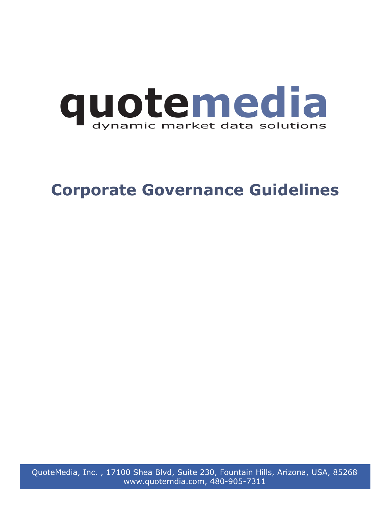

# **Corporate Governance Guidelines**

QuoteMedia, Inc. , 17100 Shea Blvd, Suite 230, Fountain Hills, Arizona, USA, 85268 www.quotemdia.com, 480-905-7311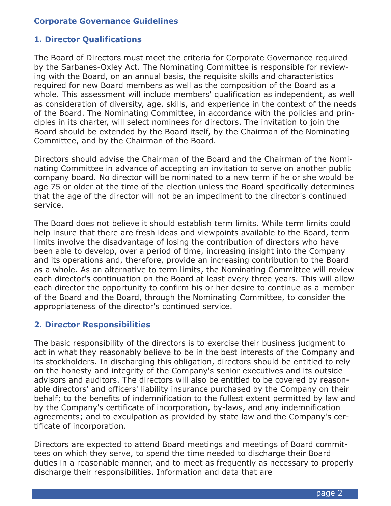## **Corporate Governance Guidelines**

#### **1. Director Qualifications**

The Board of Directors must meet the criteria for Corporate Governance required by the Sarbanes-Oxley Act. The Nominating Committee is responsible for reviewing with the Board, on an annual basis, the requisite skills and characteristics required for new Board members as well as the composition of the Board as a whole. This assessment will include members' qualification as independent, as well as consideration of diversity, age, skills, and experience in the context of the needs of the Board. The Nominating Committee, in accordance with the policies and principles in its charter, will select nominees for directors. The invitation to join the Board should be extended by the Board itself, by the Chairman of the Nominating Committee, and by the Chairman of the Board.

Directors should advise the Chairman of the Board and the Chairman of the Nominating Committee in advance of accepting an invitation to serve on another public company board. No director will be nominated to a new term if he or she would be age 75 or older at the time of the election unless the Board specifically determines that the age of the director will not be an impediment to the director's continued service.

The Board does not believe it should establish term limits. While term limits could help insure that there are fresh ideas and viewpoints available to the Board, term limits involve the disadvantage of losing the contribution of directors who have been able to develop, over a period of time, increasing insight into the Company and its operations and, therefore, provide an increasing contribution to the Board as a whole. As an alternative to term limits, the Nominating Committee will review each director's continuation on the Board at least every three years. This will allow each director the opportunity to confirm his or her desire to continue as a member of the Board and the Board, through the Nominating Committee, to consider the appropriateness of the director's continued service.

#### **2. Director Responsibilities**

The basic responsibility of the directors is to exercise their business judgment to act in what they reasonably believe to be in the best interests of the Company and its stockholders. In discharging this obligation, directors should be entitled to rely on the honesty and integrity of the Company's senior executives and its outside advisors and auditors. The directors will also be entitled to be covered by reasonable directors' and officers' liability insurance purchased by the Company on their behalf; to the benefits of indemnification to the fullest extent permitted by law and by the Company's certificate of incorporation, by-laws, and any indemnification agreements; and to exculpation as provided by state law and the Company's certificate of incorporation.

Directors are expected to attend Board meetings and meetings of Board committees on which they serve, to spend the time needed to discharge their Board duties in a reasonable manner, and to meet as frequently as necessary to properly discharge their responsibilities. Information and data that are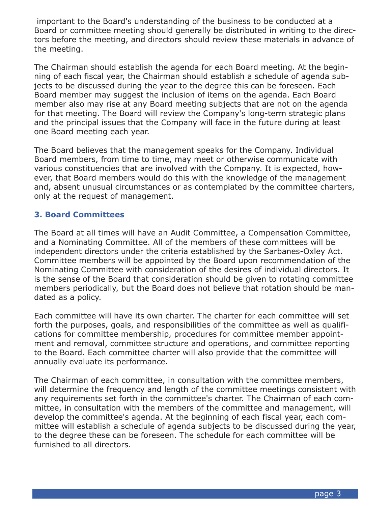important to the Board's understanding of the business to be conducted at a Board or committee meeting should generally be distributed in writing to the directors before the meeting, and directors should review these materials in advance of the meeting.

The Chairman should establish the agenda for each Board meeting. At the beginning of each fiscal year, the Chairman should establish a schedule of agenda subjects to be discussed during the year to the degree this can be foreseen. Each Board member may suggest the inclusion of items on the agenda. Each Board member also may rise at any Board meeting subjects that are not on the agenda for that meeting. The Board will review the Company's long-term strategic plans and the principal issues that the Company will face in the future during at least one Board meeting each year.

The Board believes that the management speaks for the Company. Individual Board members, from time to time, may meet or otherwise communicate with various constituencies that are involved with the Company. It is expected, however, that Board members would do this with the knowledge of the management and, absent unusual circumstances or as contemplated by the committee charters, only at the request of management.

## **3. Board Committees**

The Board at all times will have an Audit Committee, a Compensation Committee, and a Nominating Committee. All of the members of these committees will be independent directors under the criteria established by the Sarbanes-Oxley Act. Committee members will be appointed by the Board upon recommendation of the Nominating Committee with consideration of the desires of individual directors. It is the sense of the Board that consideration should be given to rotating committee members periodically, but the Board does not believe that rotation should be mandated as a policy.

Each committee will have its own charter. The charter for each committee will set forth the purposes, goals, and responsibilities of the committee as well as qualifications for committee membership, procedures for committee member appointment and removal, committee structure and operations, and committee reporting to the Board. Each committee charter will also provide that the committee will annually evaluate its performance.

The Chairman of each committee, in consultation with the committee members, will determine the frequency and length of the committee meetings consistent with any requirements set forth in the committee's charter. The Chairman of each committee, in consultation with the members of the committee and management, will develop the committee's agenda. At the beginning of each fiscal year, each committee will establish a schedule of agenda subjects to be discussed during the year, to the degree these can be foreseen. The schedule for each committee will be furnished to all directors.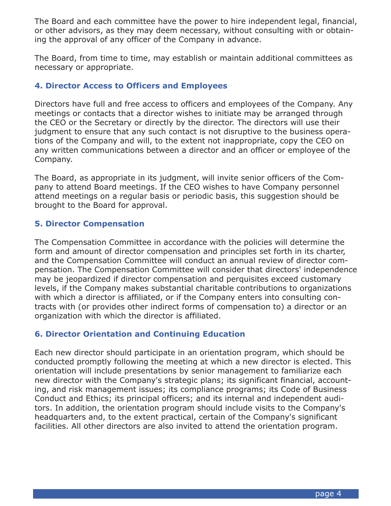The Board and each committee have the power to hire independent legal, financial, or other advisors, as they may deem necessary, without consulting with or obtaining the approval of any officer of the Company in advance.

The Board, from time to time, may establish or maintain additional committees as necessary or appropriate.

## **4. Director Access to Officers and Employees**

Directors have full and free access to officers and employees of the Company. Any meetings or contacts that a director wishes to initiate may be arranged through the CEO or the Secretary or directly by the director. The directors will use their judgment to ensure that any such contact is not disruptive to the business operations of the Company and will, to the extent not inappropriate, copy the CEO on any written communications between a director and an officer or employee of the Company.

The Board, as appropriate in its judgment, will invite senior officers of the Company to attend Board meetings. If the CEO wishes to have Company personnel attend meetings on a regular basis or periodic basis, this suggestion should be brought to the Board for approval.

# **5. Director Compensation**

The Compensation Committee in accordance with the policies will determine the form and amount of director compensation and principles set forth in its charter, and the Compensation Committee will conduct an annual review of director compensation. The Compensation Committee will consider that directors' independence may be jeopardized if director compensation and perquisites exceed customary levels, if the Company makes substantial charitable contributions to organizations with which a director is affiliated, or if the Company enters into consulting contracts with (or provides other indirect forms of compensation to) a director or an organization with which the director is affiliated.

# **6. Director Orientation and Continuing Education**

Each new director should participate in an orientation program, which should be conducted promptly following the meeting at which a new director is elected. This orientation will include presentations by senior management to familiarize each new director with the Company's strategic plans; its significant financial, accounting, and risk management issues; its compliance programs; its Code of Business Conduct and Ethics; its principal officers; and its internal and independent auditors. In addition, the orientation program should include visits to the Company's headquarters and, to the extent practical, certain of the Company's significant facilities. All other directors are also invited to attend the orientation program.